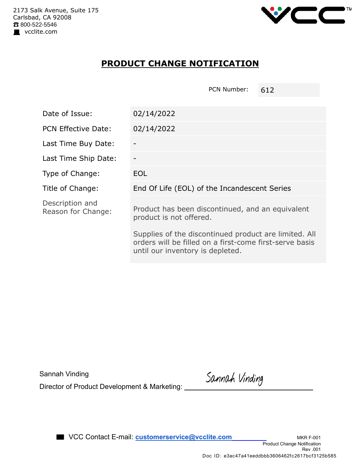

## **PRODUCT CHANGE NOTIFICATION**

| Date of Issue:                        | 02/14/2022                                                                                                                                           |  |  |
|---------------------------------------|------------------------------------------------------------------------------------------------------------------------------------------------------|--|--|
| <b>PCN Effective Date:</b>            | 02/14/2022                                                                                                                                           |  |  |
| Last Time Buy Date:                   |                                                                                                                                                      |  |  |
| Last Time Ship Date:                  |                                                                                                                                                      |  |  |
| Type of Change:                       | <b>EOL</b>                                                                                                                                           |  |  |
| Title of Change:                      | End Of Life (EOL) of the Incandescent Series                                                                                                         |  |  |
| Description and<br>Reason for Change: | Product has been discontinued, and an equivalent<br>product is not offered.                                                                          |  |  |
|                                       | Supplies of the discontinued product are limited. All<br>orders will be filled on a first-come first-serve basis<br>until our inventory is depleted. |  |  |

Sannah Vinding

PCN Number: 612

Sannah Vinding<br>Director of Product Development & Marketing: **Sannah Vinding**